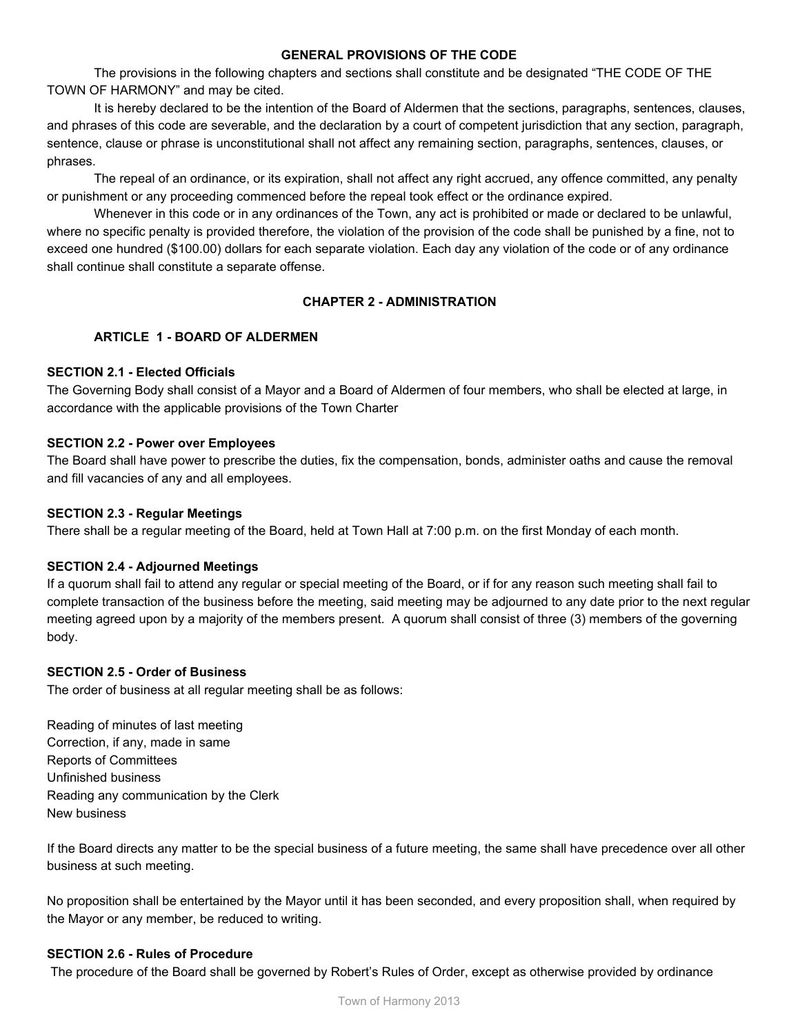### **GENERAL PROVISIONS OF THE CODE**

The provisions in the following chapters and sections shall constitute and be designated "THE CODE OF THE TOWN OF HARMONY" and may be cited.

It is hereby declared to be the intention of the Board of Aldermen that the sections, paragraphs, sentences, clauses, and phrases of this code are severable, and the declaration by a court of competent jurisdiction that any section, paragraph, sentence, clause or phrase is unconstitutional shall not affect any remaining section, paragraphs, sentences, clauses, or phrases.

The repeal of an ordinance, or its expiration, shall not affect any right accrued, any offence committed, any penalty or punishment or any proceeding commenced before the repeal took effect or the ordinance expired.

Whenever in this code or in any ordinances of the Town, any act is prohibited or made or declared to be unlawful, where no specific penalty is provided therefore, the violation of the provision of the code shall be punished by a fine, not to exceed one hundred (\$100.00) dollars for each separate violation. Each day any violation of the code or of any ordinance shall continue shall constitute a separate offense.

# **CHAPTER 2 ADMINISTRATION**

# **ARTICLE 1 BOARD OF ALDERMEN**

## **SECTION 2.1 Elected Officials**

The Governing Body shall consist of a Mayor and a Board of Aldermen of four members, who shall be elected at large, in accordance with the applicable provisions of the Town Charter

## **SECTION 2.2 Power over Employees**

The Board shall have power to prescribe the duties, fix the compensation, bonds, administer oaths and cause the removal and fill vacancies of any and all employees.

## **SECTION 2.3 Regular Meetings**

There shall be a regular meeting of the Board, held at Town Hall at 7:00 p.m. on the first Monday of each month.

# **SECTION 2.4 Adjourned Meetings**

If a quorum shall fail to attend any regular or special meeting of the Board, or if for any reason such meeting shall fail to complete transaction of the business before the meeting, said meeting may be adjourned to any date prior to the next regular meeting agreed upon by a majority of the members present. A quorum shall consist of three (3) members of the governing body.

#### **SECTION 2.5 Order of Business**

The order of business at all regular meeting shall be as follows:

Reading of minutes of last meeting Correction, if any, made in same Reports of Committees Unfinished business Reading any communication by the Clerk New business

If the Board directs any matter to be the special business of a future meeting, the same shall have precedence over all other business at such meeting.

No proposition shall be entertained by the Mayor until it has been seconded, and every proposition shall, when required by the Mayor or any member, be reduced to writing.

#### **SECTION 2.6 Rules of Procedure**

The procedure of the Board shall be governed by Robert's Rules of Order, except as otherwise provided by ordinance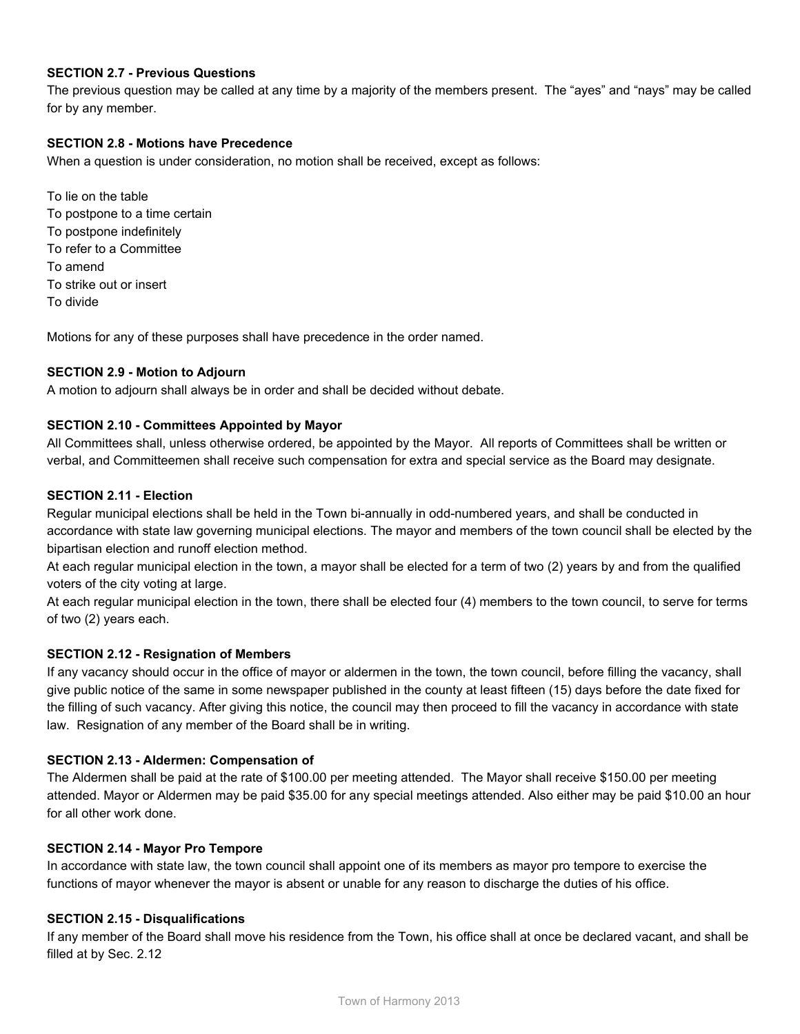# **SECTION 2.7 Previous Questions**

The previous question may be called at any time by a majority of the members present. The "ayes" and "nays" may be called for by any member.

# **SECTION 2.8 Motions have Precedence**

When a question is under consideration, no motion shall be received, except as follows:

To lie on the table To postpone to a time certain To postpone indefinitely To refer to a Committee To amend To strike out or insert To divide

Motions for any of these purposes shall have precedence in the order named.

#### **SECTION 2.9 Motion to Adjourn**

A motion to adjourn shall always be in order and shall be decided without debate.

#### **SECTION 2.10 Committees Appointed by Mayor**

All Committees shall, unless otherwise ordered, be appointed by the Mayor. All reports of Committees shall be written or verbal, and Committeemen shall receive such compensation for extra and special service as the Board may designate.

#### **SECTION 2.11 Election**

Regular municipal elections shall be held in the Town bi-annually in odd-numbered years, and shall be conducted in accordance with state law governing municipal elections. The mayor and members of the town council shall be elected by the bipartisan election and runoff election method.

At each regular municipal election in the town, a mayor shall be elected for a term of two (2) years by and from the qualified voters of the city voting at large.

At each regular municipal election in the town, there shall be elected four (4) members to the town council, to serve for terms of two (2) years each.

#### **SECTION 2.12 Resignation of Members**

If any vacancy should occur in the office of mayor or aldermen in the town, the town council, before filling the vacancy, shall give public notice of the same in some newspaper published in the county at least fifteen (15) days before the date fixed for the filling of such vacancy. After giving this notice, the council may then proceed to fill the vacancy in accordance with state law. Resignation of any member of the Board shall be in writing.

### **SECTION 2.13 Aldermen: Compensation of**

The Aldermen shall be paid at the rate of \$100.00 per meeting attended. The Mayor shall receive \$150.00 per meeting attended. Mayor or Aldermen may be paid \$35.00 for any special meetings attended. Also either may be paid \$10.00 an hour for all other work done.

#### **SECTION 2.14 Mayor Pro Tempore**

In accordance with state law, the town council shall appoint one of its members as mayor pro tempore to exercise the functions of mayor whenever the mayor is absent or unable for any reason to discharge the duties of his office.

#### **SECTION 2.15 Disqualifications**

If any member of the Board shall move his residence from the Town, his office shall at once be declared vacant, and shall be filled at by Sec. 2.12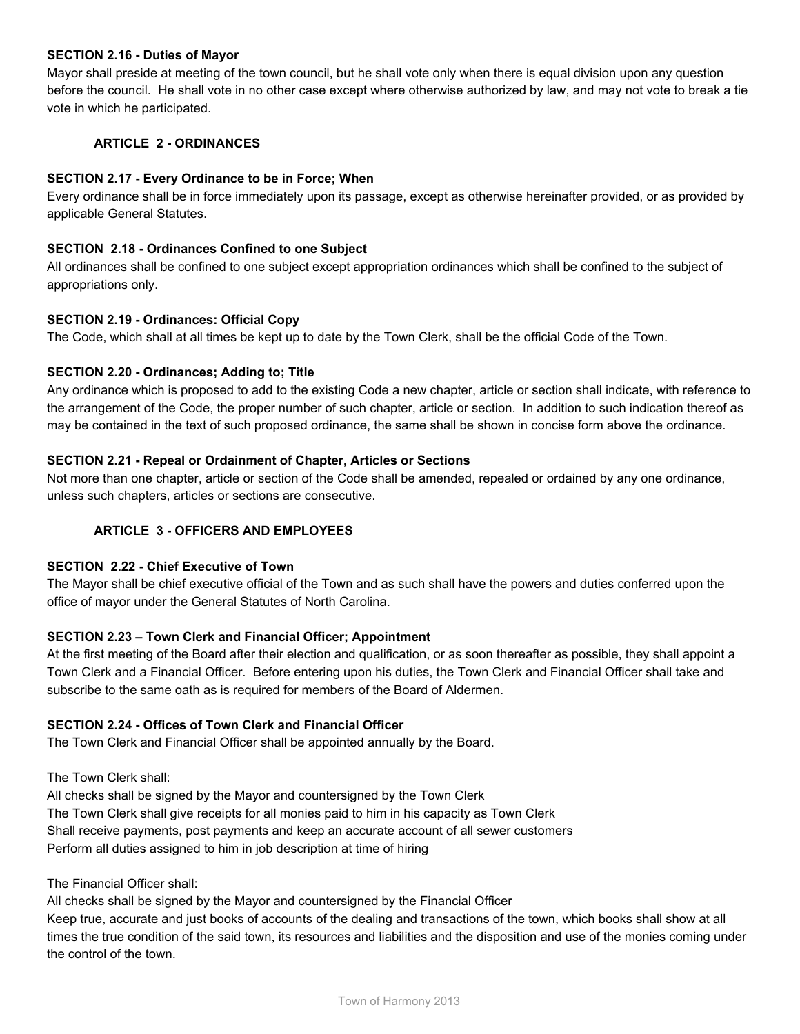### **SECTION 2.16 Duties of Mayor**

Mayor shall preside at meeting of the town council, but he shall vote only when there is equal division upon any question before the council. He shall vote in no other case except where otherwise authorized by law, and may not vote to break a tie vote in which he participated.

# **ARTICLE 2 ORDINANCES**

### **SECTION 2.17 Every Ordinance to be in Force; When**

Every ordinance shall be in force immediately upon its passage, except as otherwise hereinafter provided, or as provided by applicable General Statutes.

#### **SECTION 2.18 Ordinances Confined to one Subject**

All ordinances shall be confined to one subject except appropriation ordinances which shall be confined to the subject of appropriations only.

#### **SECTION 2.19 Ordinances: Official Copy**

The Code, which shall at all times be kept up to date by the Town Clerk, shall be the official Code of the Town.

## **SECTION 2.20 Ordinances; Adding to; Title**

Any ordinance which is proposed to add to the existing Code a new chapter, article or section shall indicate, with reference to the arrangement of the Code, the proper number of such chapter, article or section. In addition to such indication thereof as may be contained in the text of such proposed ordinance, the same shall be shown in concise form above the ordinance.

## **SECTION 2.21 Repeal or Ordainment of Chapter, Articles or Sections**

Not more than one chapter, article or section of the Code shall be amended, repealed or ordained by any one ordinance, unless such chapters, articles or sections are consecutive.

# **ARTICLE 3 OFFICERS AND EMPLOYEES**

#### **SECTION 2.22 Chief Executive of Town**

The Mayor shall be chief executive official of the Town and as such shall have the powers and duties conferred upon the office of mayor under the General Statutes of North Carolina.

#### **SECTION 2.23 – Town Clerk and Financial Officer; Appointment**

At the first meeting of the Board after their election and qualification, or as soon thereafter as possible, they shall appoint a Town Clerk and a Financial Officer. Before entering upon his duties, the Town Clerk and Financial Officer shall take and subscribe to the same oath as is required for members of the Board of Aldermen.

# **SECTION 2.24 Offices of Town Clerk and Financial Officer**

The Town Clerk and Financial Officer shall be appointed annually by the Board.

The Town Clerk shall:

All checks shall be signed by the Mayor and countersigned by the Town Clerk The Town Clerk shall give receipts for all monies paid to him in his capacity as Town Clerk Shall receive payments, post payments and keep an accurate account of all sewer customers Perform all duties assigned to him in job description at time of hiring

The Financial Officer shall:

All checks shall be signed by the Mayor and countersigned by the Financial Officer

Keep true, accurate and just books of accounts of the dealing and transactions of the town, which books shall show at all times the true condition of the said town, its resources and liabilities and the disposition and use of the monies coming under the control of the town.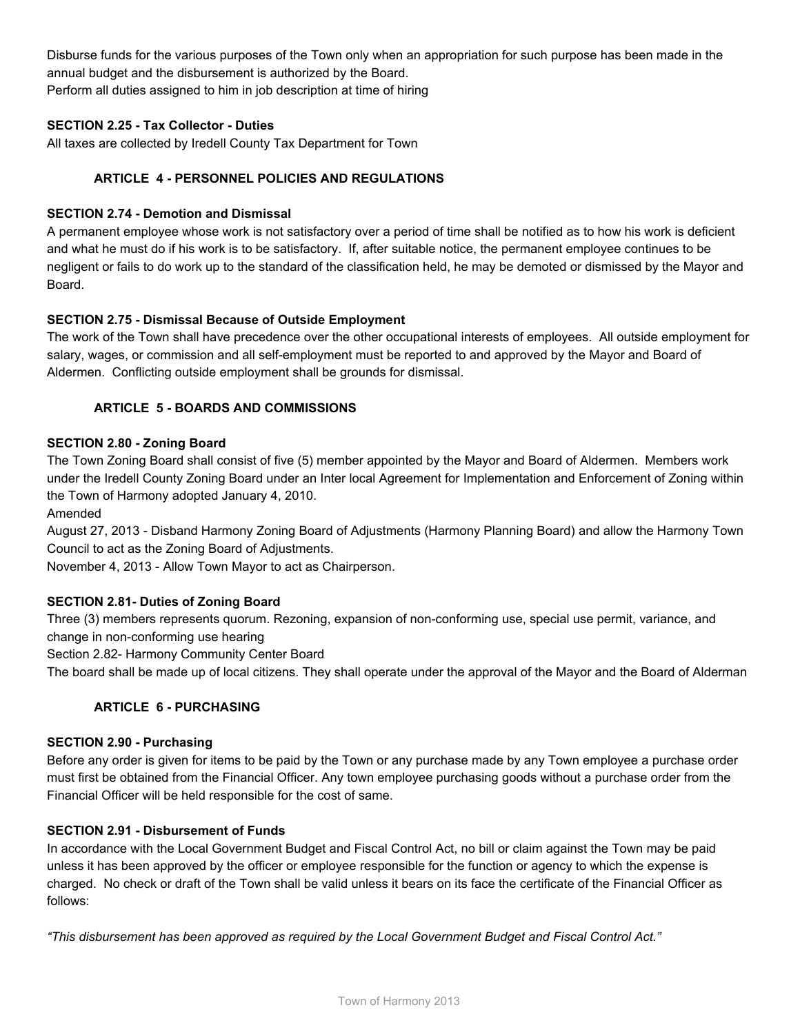Disburse funds for the various purposes of the Town only when an appropriation for such purpose has been made in the annual budget and the disbursement is authorized by the Board. Perform all duties assigned to him in job description at time of hiring

# **SECTION 2.25 Tax Collector Duties**

All taxes are collected by Iredell County Tax Department for Town

# **ARTICLE 4 PERSONNEL POLICIES AND REGULATIONS**

# **SECTION 2.74 Demotion and Dismissal**

A permanent employee whose work is not satisfactory over a period of time shall be notified as to how his work is deficient and what he must do if his work is to be satisfactory. If, after suitable notice, the permanent employee continues to be negligent or fails to do work up to the standard of the classification held, he may be demoted or dismissed by the Mayor and Board.

# **SECTION 2.75 Dismissal Because of Outside Employment**

The work of the Town shall have precedence over the other occupational interests of employees. All outside employment for salary, wages, or commission and all self-employment must be reported to and approved by the Mayor and Board of Aldermen. Conflicting outside employment shall be grounds for dismissal.

# **ARTICLE 5 BOARDS AND COMMISSIONS**

## **SECTION 2.80 Zoning Board**

The Town Zoning Board shall consist of five (5) member appointed by the Mayor and Board of Aldermen. Members work under the Iredell County Zoning Board under an Inter local Agreement for Implementation and Enforcement of Zoning within the Town of Harmony adopted January 4, 2010.

Amended

August 27, 2013 - Disband Harmony Zoning Board of Adjustments (Harmony Planning Board) and allow the Harmony Town Council to act as the Zoning Board of Adjustments.

November 4, 2013 Allow Town Mayor to act as Chairperson.

# **SECTION 2.81 Duties of Zoning Board**

Three (3) members represents quorum. Rezoning, expansion of non-conforming use, special use permit, variance, and change in non-conforming use hearing

Section 2.82- Harmony Community Center Board

The board shall be made up of local citizens. They shall operate under the approval of the Mayor and the Board of Alderman

# **ARTICLE 6 PURCHASING**

#### **SECTION 2.90 Purchasing**

Before any order is given for items to be paid by the Town or any purchase made by any Town employee a purchase order must first be obtained from the Financial Officer. Any town employee purchasing goods without a purchase order from the Financial Officer will be held responsible for the cost of same.

#### **SECTION 2.91 Disbursement of Funds**

In accordance with the Local Government Budget and Fiscal Control Act, no bill or claim against the Town may be paid unless it has been approved by the officer or employee responsible for the function or agency to which the expense is charged. No check or draft of the Town shall be valid unless it bears on its face the certificate of the Financial Officer as follows:

*"This disbursement has been approved as required by the Local Government Budget and Fiscal Control Act."*